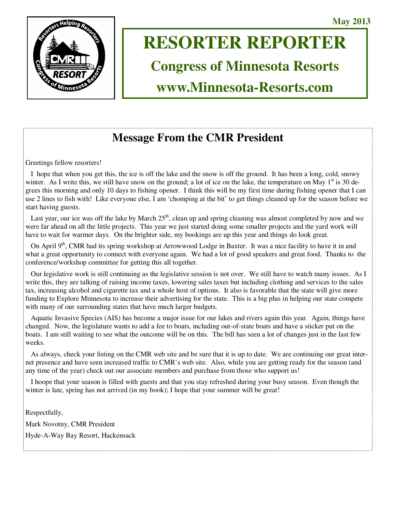

# **RESORTER REPORTER**

**Congress of Minnesota Resorts** 

**www.Minnesota-Resorts.com** 

# **Message From the CMR President**

Greetings fellow resorters!

 I hope that when you get this, the ice is off the lake and the snow is off the ground. It has been a long, cold, snowy winter. As I write this, we still have snow on the ground; a lot of ice on the lake, the temperature on May  $1<sup>st</sup>$  is 30 degrees this morning and only 10 days to fishing opener. I think this will be my first time during fishing opener that I can use 2 lines to fish with! Like everyone else, I am 'chomping at the bit' to get things cleaned up for the season before we start having guests.

Last year, our ice was off the lake by March  $25<sup>th</sup>$ , clean up and spring cleaning was almost completed by now and we were far ahead on all the little projects. This year we just started doing some smaller projects and the yard work will have to wait for warmer days. On the brighter side, my bookings are up this year and things do look great.

On April 9<sup>th</sup>, CMR had its spring workshop at Arrowwood Lodge in Baxter. It was a nice facility to have it in and what a great opportunity to connect with everyone again. We had a lot of good speakers and great food. Thanks to the conference/workshop committee for getting this all together.

 Our legislative work is still continuing as the legislative session is not over. We still have to watch many issues. As I write this, they are talking of raising income taxes, lowering sales taxes but including clothing and services to the sales tax, increasing alcohol and cigarette tax and a whole host of options. It also is favorable that the state will give more funding to Explore Minnesota to increase their advertising for the state. This is a big plus in helping our state compete with many of our surrounding states that have much larger budgets.

 Aquatic Invasive Species (AIS) has become a major issue for our lakes and rivers again this year. Again, things have changed. Now, the legislature wants to add a fee to boats, including out-of-state boats and have a sticker put on the boats. I am still waiting to see what the outcome will be on this. The bill has seen a lot of changes just in the last few weeks.

 As always, check your listing on the CMR web site and be sure that it is up to date. We are continuing our great internet presence and have seen increased traffic to CMR's web site. Also, while you are getting ready for the season (and any time of the year) check out our associate members and purchase from those who support us!

 I hoope that your season is filled with guests and that you stay refreshed during your busy season. Even though the winter is late, spring has not arrived (in my book); I hope that your summer will be great!

Respectfully, Mark Novotny, CMR President Hyde-A-Way Bay Resort, Hackensack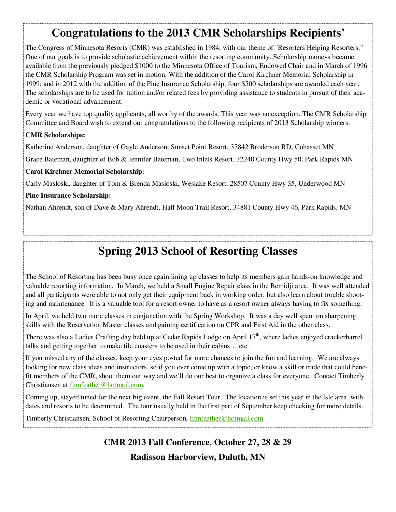# **Congratulations to the 2013 CMR Scholarships Recipients'**

The Congress of Minnesota Resorts (CMR) was established in 1984, with our theme of "Resorters Helping Resorters." One of our goals is to provide scholastic achievement within the resorting community. Scholarship moneys became available from the previously pledged \$1000 to the Minnesota Office of Tourism, Endowed Chair and in March of 1996 the CMR Scholarship Program was set in motion. With the addition of the Carol Kirchner Memorial Scholarship in 1999; and in 2012 with the addition of the Pine Insurance Scholarship, four \$500 scholarships are awarded each year. The scholarships are to be used for tuition and/or related fees by providing assistance to students in pursuit of their academic or vocational advancement.

Every year we have top quality applicants, all worthy of the awards. This year was no exception. The CMR Scholarship Committee and Board wish to extend our congratulations to the following recipients of 2013 Scholarship winners.

### **CMR Scholarships:**

Katherine Anderson, daughter of Gayle Anderson, Sunset Point Resort, 37842 Broderson RD, Cohasset MN

Grace Bateman, daughter of Bob & Jennifer Bateman, Two Inlets Resort, 32240 County Hwy 50, Park Rapids MN

### **Carol Kirchner Memorial Scholarship:**

Carly Masloski, daughter of Tom & Brenda Masloski, Weslake Resort, 28507 County Hwy 35, Underwood MN

### **Pine Insurance Scholarship:**

Nathan Ahrendt, son of Dave & Mary Ahrendt, Half Moon Trail Resort, 34881 County Hwy 46, Park Rapids, MN

# **Spring 2013 School of Resorting Classes**

The School of Resorting has been busy once again lining up classes to help its members gain hands-on knowledge and valuable resorting information. In March, we held a Small Engine Repair class in the Bemidji area. It was well attended and all participants were able to not only get their equipment back in working order, but also learn about trouble shooting and maintenance. It is a valuable tool for a resort owner to have as a resort owner always having to fix something.

In April, we held two more classes in conjunction with the Spring Workshop. It was a day well spent on sharpening skills with the Reservation Master classes and gaining certification on CPR and First Aid in the other class.

There was also a Ladies Crafting day held up at Cedar Rapids Lodge on April 17<sup>th</sup>, where ladies enjoyed crackerbarrel talks and getting together to make tile coasters to be used in their cabins….etc.

If you missed any of the classes, keep your eyes posted for more chances to join the fun and learning. We are always looking for new class ideas and instructors, so if you ever come up with a topic, or know a skill or trade that could benefit members of the CMR, shoot them our way and we'll do our best to organize a class for everyone. Contact Timberly Christiansen at finnfeather@hotmail.com.

Coming up, stayed tuned for the next big event, the Fall Resort Tour. The location is set this year in the Isle area, with dates and resorts to be determined. The tour usually held in the first part of September keep checking for more details.

Timberly Christiansen, School of Resorting Chairperson, *finnfeather@hotmail.com* 

**CMR 2013 Fall Conference, October 27, 28 & 29 Radisson Harborview, Duluth, MN**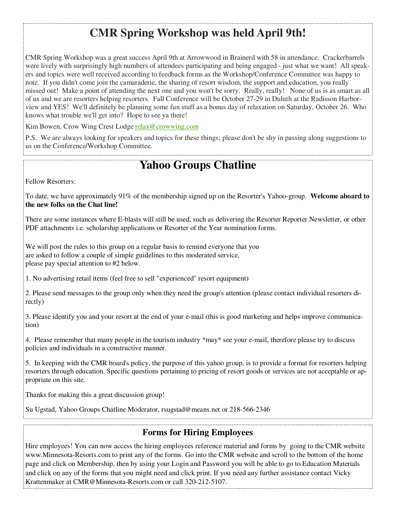# **CMR Spring Workshop was held April 9th!**

CMR Spring Workshop was a great success April 9th at Arrowwood in Brainerd with 58 in attendance. Crackerbarrels were lively with surprisingly high numbers of attendees participating and being engaged - just what we want! All speakers and topics were well received according to feedback forms as the Workshop/Conference Committee was happy to note. If you didn't come join the camaraderie, the sharing of resort wisdom, the support and education, you really missed out! Make a point of attending the next one and you won't be sorry. Really, really! None of us is as smart as all of us and we are resorters helping resorters. Fall Conference will be October 27-29 in Duluth at the Radisson Harborview and YES! We'll definitely be planning some fun stuff as a bonus day of relaxation on Saturday, October 26. Who knows what trouble we'll get into? Hope to see ya there!

Kim Bowen, Crow Wing Crest Lodge relax@crowwing.com

P.S. We are always looking for speakers and topics for these things; please don't be shy in passing along suggestions to us on the Conference/Workshop Committee.

# **Yahoo Groups Chatline**

Fellow Resorters:

To date, we have approximately 91% of the membership signed up on the Resorter's Yahoo-group. **Welcome aboard to the new folks on the Chat line!**

There are some instances where E-blasts will still be used, such as delivering the Resorter Reporter Newsletter, or other PDF attachments i.e. scholarship applications or Resorter of the Year nomination forms.

We will post the rules to this group on a regular basis to remind everyone that you are asked to follow a couple of simple guidelines to this moderated service, please pay special attention to #2 below.

1. No advertising retail items (feel free to sell "experienced" resort equipment)

2. Please send messages to the group only when they need the group's attention (please contact individual resorters directly)

3. Please identify you and your resort at the end of your e-mail (this is good marketing and helps improve communication)

4. Please remember that many people in the tourism industry \*may\* see your e-mail, therefore please try to discuss policies and individuals in a constructive manner.

5. In keeping with the CMR board's policy, the purpose of this yahoo group, is to provide a format for resorters helping resorters through education. Specific questions pertaining to pricing of resort goods or services are not acceptable or appropriate on this site.

Thanks for making this a great discussion group!

Su Ugstad, Yahoo Groups Chatline Moderator, rsugstad@means.net or 218-566-2346

### **Forms for Hiring Employees**

Hire employees! You can now access the hiring employees reference material and forms by going to the CMR website www.Minnesota-Resorts.com to print any of the forms. Go into the CMR website and scroll to the bottom of the home page and click on Membership, then by using your Login and Password you will be able to go to Education Materials and click on any of the forms that you might need and click print. If you need any further assistance contact Vicky Krattenmaker at CMR@Minnesota-Resorts.com or call 320-212-5107.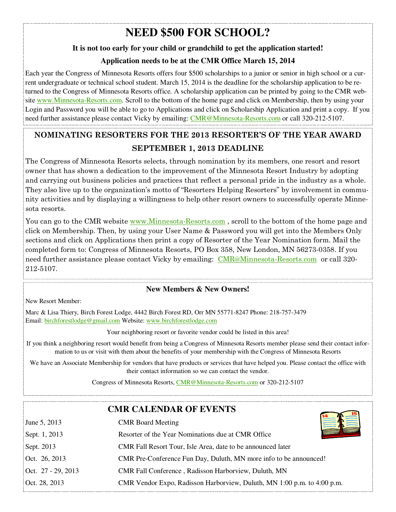# **NEED \$500 FOR SCHOOL?**

### **It is not too early for your child or grandchild to get the application started!**

### **Application needs to be at the CMR Office March 15, 2014**

Each year the Congress of Minnesota Resorts offers four \$500 scholarships to a junior or senior in high school or a current undergraduate or technical school student. March 15, 2014 is the deadline for the scholarship application to be returned to the Congress of Minnesota Resorts office. A scholarship application can be printed by going to the CMR website www.Minnesota-Resorts.com. Scroll to the bottom of the home page and click on Membership, then by using your Login and Password you will be able to go to Applications and click on Scholarship Application and print a copy. If you need further assistance please contact Vicky by emailing: CMR@Minnesota-Resorts.com or call 320-212-5107.

## **NOMINATING RESORTERS FOR THE 2013 RESORTER'S OF THE YEAR AWARD SEPTEMBER 1, 2013 DEADLINE**

The Congress of Minnesota Resorts selects, through nomination by its members, one resort and resort owner that has shown a dedication to the improvement of the Minnesota Resort Industry by adopting and carrying out business policies and practices that reflect a personal pride in the industry as a whole. They also live up to the organization's motto of "Resorters Helping Resorters" by involvement in community activities and by displaying a willingness to help other resort owners to successfully operate Minnesota resorts.

You can go to the CMR website www.Minnesota-Resorts.com, scroll to the bottom of the home page and click on Membership. Then, by using your User Name & Password you will get into the Members Only sections and click on Applications then print a copy of Resorter of the Year Nomination form. Mail the completed form to: Congress of Minnesota Resorts, PO Box 358, New London, MN 56273-0358. If you need further assistance please contact Vicky by emailing: CMR@Minnesota-Resorts.com or call 320-212-5107.

### **New Members & New Owners!**

New Resort Member:

Marc & Lisa Thiery, Birch Forest Lodge, 4442 Birch Forest RD, Orr MN 55771-8247 Phone: 218-757-3479 Email: birchforestlodge@gmail.com Website: www.birchforestlodge.com

Your neighboring resort or favorite vendor could be listed in this area!

If you think a neighboring resort would benefit from being a Congress of Minnesota Resorts member please send their contact information to us or visit with them about the benefits of your membership with the Congress of Minnesota Resorts

We have an Associate Membership for vendors that have products or services that have helped you. Please contact the office with their contact information so we can contact the vendor.

Congress of Minnesota Resorts, CMR@Minnesota-Resorts.com or 320-212-5107

|                    | <b>CMR CALENDAR OF EVENTS</b>                                           |
|--------------------|-------------------------------------------------------------------------|
| June 5, 2013       | <b>CMR</b> Board Meeting                                                |
| Sept. 1, 2013      | Resorter of the Year Nominations due at CMR Office                      |
| Sept. 2013         | CMR Fall Resort Tour, Isle Area, date to be announced later             |
| Oct. 26, 2013      | CMR Pre-Conference Fun Day, Duluth, MN more info to be announced!       |
| Oct. 27 - 29, 2013 | CMR Fall Conference, Radisson Harborview, Duluth, MN                    |
| Oct. 28, 2013      | CMR Vendor Expo, Radisson Harborview, Duluth, MN 1:00 p.m. to 4:00 p.m. |